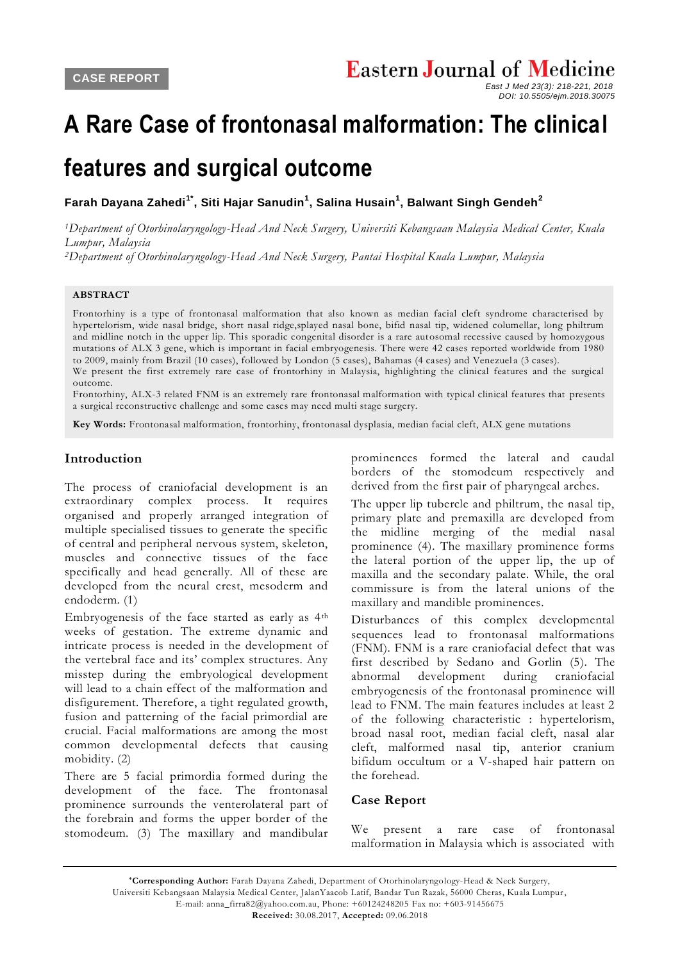# **A Rare Case of frontonasal malformation: The clinical**

# **features and surgical outcome**

**Farah Dayana Zahedi1\* , Siti Hajar Sanudin<sup>1</sup> , Salina Husain<sup>1</sup> , Balwant Singh Gendeh<sup>2</sup>**

*<sup>1</sup>Department of Otorhinolaryngology-Head And Neck Surgery, Universiti Kebangsaan Malaysia Medical Center, Kuala Lumpur, Malaysia*

*<sup>2</sup>Department of Otorhinolaryngology-Head And Neck Surgery, Pantai Hospital Kuala Lumpur, Malaysia*

### **ABSTRACT**

Frontorhiny is a type of frontonasal malformation that also known as median facial cleft syndrome characterised by hypertelorism, wide nasal bridge, short nasal ridge,splayed nasal bone, bifid nasal tip, widened columellar, long philtrum and midline notch in the upper lip. This sporadic congenital disorder is a rare autosomal recessive caused by homozygous mutations of ALX 3 gene, which is important in facial embryogenesis. There were 42 cases reported worldwide from 1980 to 2009, mainly from Brazil (10 cases), followed by London (5 cases), Bahamas (4 cases) and Venezuel a (3 cases). We present the first extremely rare case of frontorhiny in Malaysia, highlighting the clinical features and the surgical outcome.

Frontorhiny, ALX-3 related FNM is an extremely rare frontonasal malformation with typical clinical features that presents a surgical reconstructive challenge and some cases may need multi stage surgery.

**Key Words:** Frontonasal malformation, frontorhiny, frontonasal dysplasia, median facial cleft, ALX gene mutations

### **Introduction**

The process of craniofacial development is an extraordinary complex process. It requires organised and properly arranged integration of multiple specialised tissues to generate the specific of central and peripheral nervous system, skeleton, muscles and connective tissues of the face specifically and head generally. All of these are developed from the neural crest, mesoderm and endoderm. (1)

Embryogenesis of the face started as early as 4<sup>th</sup> weeks of gestation. The extreme dynamic and intricate process is needed in the development of the vertebral face and its' complex structures. Any misstep during the embryological development will lead to a chain effect of the malformation and disfigurement. Therefore, a tight regulated growth, fusion and patterning of the facial primordial are crucial. Facial malformations are among the most common developmental defects that causing mobidity. (2)

There are 5 facial primordia formed during the development of the face. The frontonasal prominence surrounds the venterolateral part of the forebrain and forms the upper border of the stomodeum. (3) The maxillary and mandibular

prominences formed the lateral and caudal borders of the stomodeum respectively and derived from the first pair of pharyngeal arches.

The upper lip tubercle and philtrum, the nasal tip, primary plate and premaxilla are developed from the midline merging of the medial nasal prominence (4). The maxillary prominence forms the lateral portion of the upper lip, the up of maxilla and the secondary palate. While, the oral commissure is from the lateral unions of the maxillary and mandible prominences.

Disturbances of this complex developmental sequences lead to frontonasal malformations (FNM). FNM is a rare craniofacial defect that was first described by Sedano and Gorlin (5). The abnormal development during craniofacial embryogenesis of the frontonasal prominence will lead to FNM. The main features includes at least 2 of the following characteristic : hypertelorism, broad nasal root, median facial cleft, nasal alar cleft, malformed nasal tip, anterior cranium bifidum occultum or a V-shaped hair pattern on the forehead.

#### **Case Report**

We present a rare case of frontonasal malformation in Malaysia which is associated with

*East J Med 23(3): 218-221, 2018 DOI: 10.5505/ejm.2018.30075*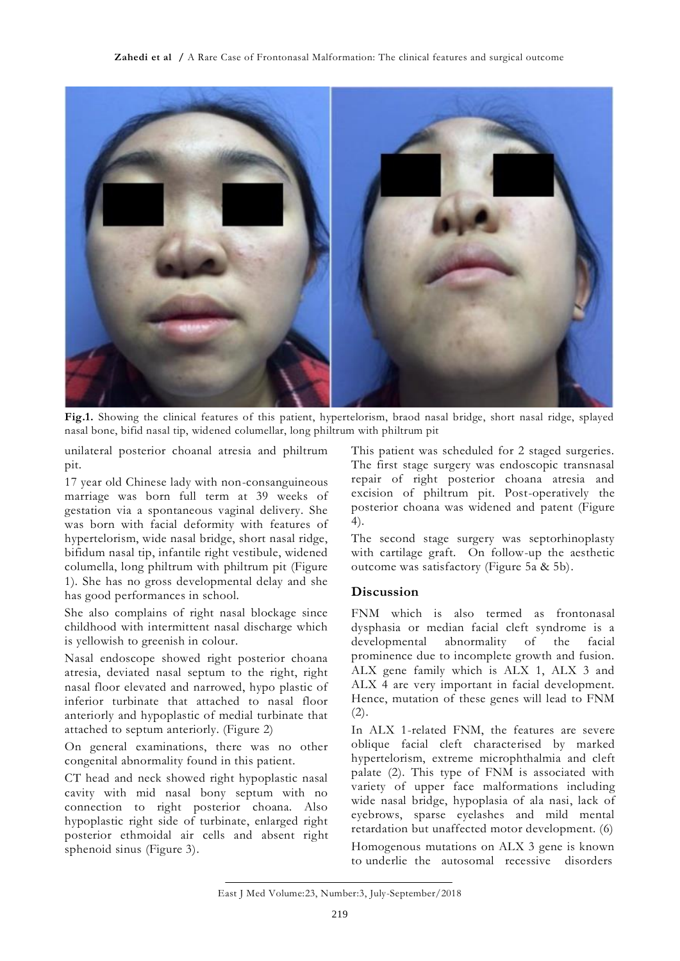

**Fig.1.** Showing the clinical features of this patient, hypertelorism, braod nasal bridge, short nasal ridge, splayed nasal bone, bifid nasal tip, widened columellar, long philtrum with philtrum pit

unilateral posterior choanal atresia and philtrum pit.

17 year old Chinese lady with non-consanguineous marriage was born full term at 39 weeks of gestation via a spontaneous vaginal delivery. She was born with facial deformity with features of hypertelorism, wide nasal bridge, short nasal ridge, bifidum nasal tip, infantile right vestibule, widened columella, long philtrum with philtrum pit (Figure 1). She has no gross developmental delay and she has good performances in school.

She also complains of right nasal blockage since childhood with intermittent nasal discharge which is yellowish to greenish in colour.

Nasal endoscope showed right posterior choana atresia, deviated nasal septum to the right, right nasal floor elevated and narrowed, hypo plastic of inferior turbinate that attached to nasal floor anteriorly and hypoplastic of medial turbinate that attached to septum anteriorly. (Figure 2)

On general examinations, there was no other congenital abnormality found in this patient.

CT head and neck showed right hypoplastic nasal cavity with mid nasal bony septum with no connection to right posterior choana. Also hypoplastic right side of turbinate, enlarged right posterior ethmoidal air cells and absent right sphenoid sinus (Figure 3).

This patient was scheduled for 2 staged surgeries. The first stage surgery was endoscopic transnasal repair of right posterior choana atresia and excision of philtrum pit. Post-operatively the posterior choana was widened and patent (Figure 4).

The second stage surgery was septorhinoplasty with cartilage graft. On follow-up the aesthetic outcome was satisfactory (Figure 5a & 5b).

## **Discussion**

FNM which is also termed as frontonasal dysphasia or median facial cleft syndrome is a developmental abnormality of the facial prominence due to incomplete growth and fusion. ALX gene family which is ALX 1, ALX 3 and ALX 4 are very important in facial development. Hence, mutation of these genes will lead to FNM  $(2).$ 

In ALX 1-related FNM, the features are severe oblique facial cleft characterised by marked hypertelorism, extreme microphthalmia and cleft palate (2). This type of FNM is associated with variety of upper face malformations including wide nasal bridge, hypoplasia of ala nasi, lack of eyebrows, sparse eyelashes and mild mental retardation but unaffected motor development. (6)

Homogenous mutations on ALX 3 gene is known to underlie the autosomal recessive disorders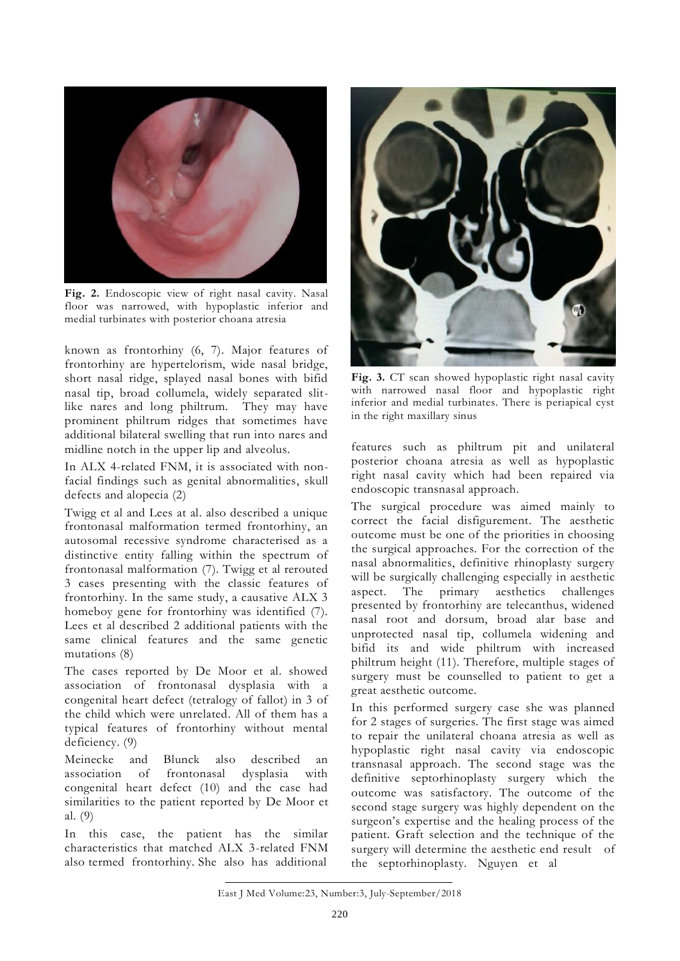

**Fig. 2.** Endoscopic view of right nasal cavity. Nasal floor was narrowed, with hypoplastic inferior and medial turbinates with posterior choana atresia

known as frontorhiny (6, 7). Major features of frontorhiny are hypertelorism, wide nasal bridge, short nasal ridge, splayed nasal bones with bifid nasal tip, broad collumela, widely separated slitlike nares and long philtrum. They may have prominent philtrum ridges that sometimes have additional bilateral swelling that run into nares and midline notch in the upper lip and alveolus.

In ALX 4-related FNM, it is associated with nonfacial findings such as genital abnormalities, skull defects and alopecia (2)

Twigg et al and Lees at al. also described a unique frontonasal malformation termed frontorhiny, an autosomal recessive syndrome characterised as a distinctive entity falling within the spectrum of frontonasal malformation (7). Twigg et al rerouted 3 cases presenting with the classic features of frontorhiny. In the same study, a causative ALX 3 homeboy gene for frontorhiny was identified (7). Lees et al described 2 additional patients with the same clinical features and the same genetic mutations (8)

The cases reported by De Moor et al. showed association of frontonasal dysplasia with a congenital heart defect (tetralogy of fallot) in 3 of the child which were unrelated. All of them has a typical features of frontorhiny without mental deficiency. (9)

Meinecke and Blunck also described an association of frontonasal dysplasia with congenital heart defect (10) and the case had similarities to the patient reported by De Moor et al. (9)

In this case, the patient has the similar characteristics that matched ALX 3-related FNM also termed frontorhiny. She also has additional



**Fig. 3.** CT scan showed hypoplastic right nasal cavity with narrowed nasal floor and hypoplastic right inferior and medial turbinates. There is periapical cyst in the right maxillary sinus

features such as philtrum pit and unilateral posterior choana atresia as well as hypoplastic right nasal cavity which had been repaired via endoscopic transnasal approach.

The surgical procedure was aimed mainly to correct the facial disfigurement. The aesthetic outcome must be one of the priorities in choosing the surgical approaches. For the correction of the nasal abnormalities, definitive rhinoplasty surgery will be surgically challenging especially in aesthetic aspect. The primary aesthetics challenges presented by frontorhiny are telecanthus, widened nasal root and dorsum, broad alar base and unprotected nasal tip, collumela widening and bifid its and wide philtrum with increased philtrum height (11). Therefore, multiple stages of surgery must be counselled to patient to get a great aesthetic outcome.

In this performed surgery case she was planned for 2 stages of surgeries. The first stage was aimed to repair the unilateral choana atresia as well as hypoplastic right nasal cavity via endoscopic transnasal approach. The second stage was the definitive septorhinoplasty surgery which the outcome was satisfactory. The outcome of the second stage surgery was highly dependent on the surgeon's expertise and the healing process of the patient. Graft selection and the technique of the surgery will determine the aesthetic end result of the septorhinoplasty. Nguyen et al